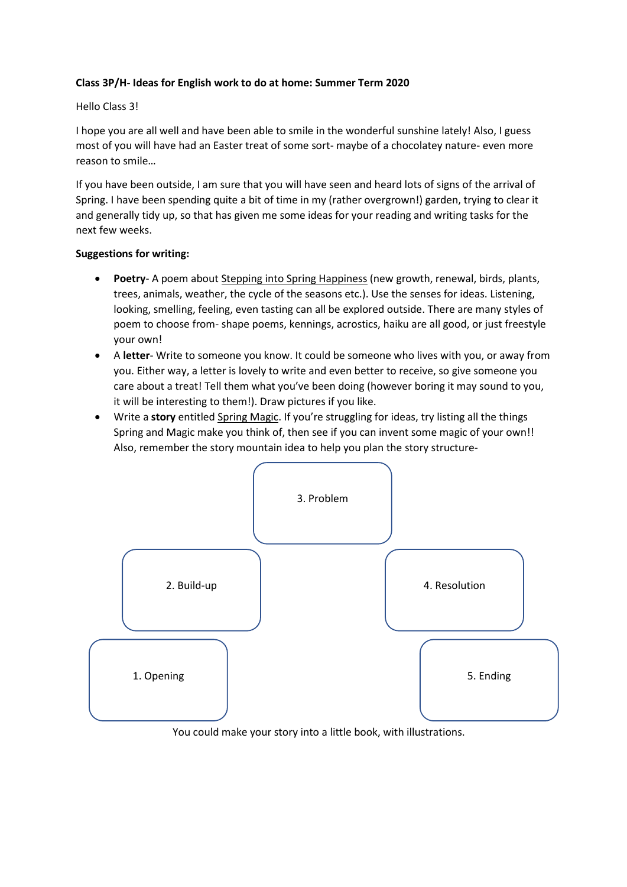## **Class 3P/H- Ideas for English work to do at home: Summer Term 2020**

## Hello Class 3!

I hope you are all well and have been able to smile in the wonderful sunshine lately! Also, I guess most of you will have had an Easter treat of some sort- maybe of a chocolatey nature- even more reason to smile…

If you have been outside, I am sure that you will have seen and heard lots of signs of the arrival of Spring. I have been spending quite a bit of time in my (rather overgrown!) garden, trying to clear it and generally tidy up, so that has given me some ideas for your reading and writing tasks for the next few weeks.

## **Suggestions for writing:**

- **Poetry** A poem about Stepping into Spring Happiness (new growth, renewal, birds, plants, trees, animals, weather, the cycle of the seasons etc.). Use the senses for ideas. Listening, looking, smelling, feeling, even tasting can all be explored outside. There are many styles of poem to choose from- shape poems, kennings, acrostics, haiku are all good, or just freestyle your own!
- A **letter** Write to someone you know. It could be someone who lives with you, or away from you. Either way, a letter is lovely to write and even better to receive, so give someone you care about a treat! Tell them what you've been doing (however boring it may sound to you, it will be interesting to them!). Draw pictures if you like.
- Write a **story** entitled Spring Magic. If you're struggling for ideas, try listing all the things Spring and Magic make you think of, then see if you can invent some magic of your own!! Also, remember the story mountain idea to help you plan the story structure-



You could make your story into a little book, with illustrations.